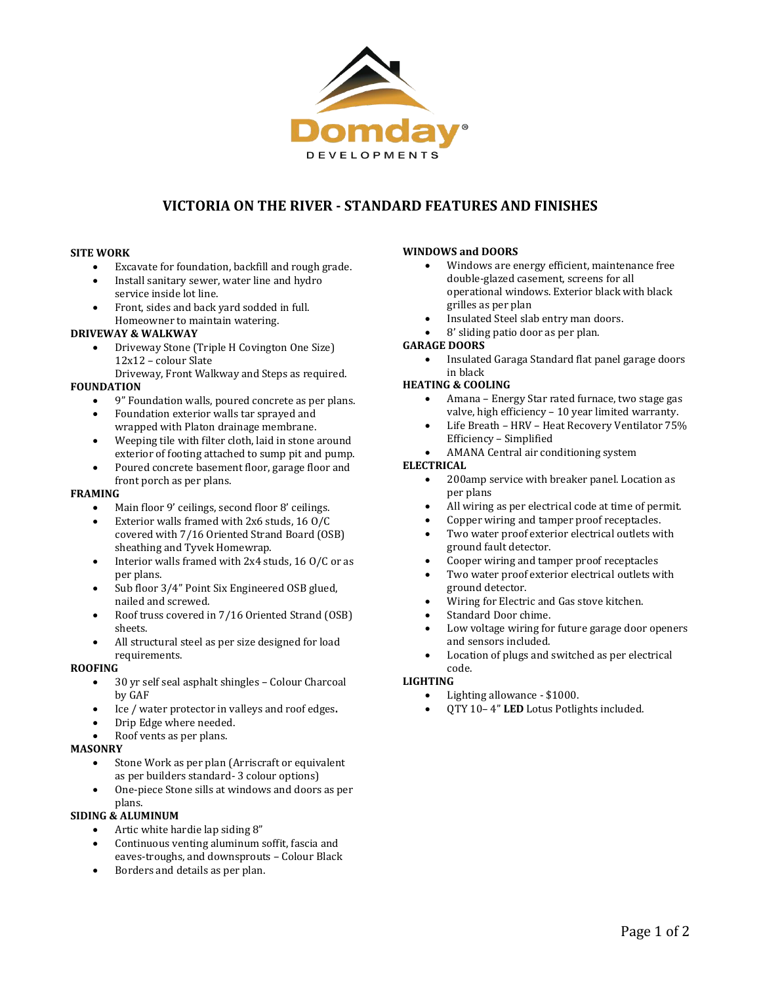

# **VICTORIA ON THE RIVER - STANDARD FEATURES AND FINISHES**

#### **SITE WORK**

- Excavate for foundation, backfill and rough grade.
- Install sanitary sewer, water line and hydro service inside lot line.
- Front, sides and back yard sodded in full. Homeowner to maintain watering.

## **DRIVEWAY & WALKWAY**

• Driveway Stone (Triple H Covington One Size) 12x12 – colour Slate

Driveway, Front Walkway and Steps as required.

## **FOUNDATION**

- 9" Foundation walls, poured concrete as per plans.
- Foundation exterior walls tar sprayed and wrapped with Platon drainage membrane.
- Weeping tile with filter cloth, laid in stone around exterior of footing attached to sump pit and pump.
- Poured concrete basement floor, garage floor and front porch as per plans.

## **FRAMING**

- Main floor 9' ceilings, second floor 8' ceilings.
- Exterior walls framed with 2x6 studs, 16 O/C covered with 7/16 Oriented Strand Board (OSB) sheathing and Tyvek Homewrap.
- Interior walls framed with 2x4 studs, 16 O/C or as per plans.
- Sub floor 3/4" Point Six Engineered OSB glued, nailed and screwed.
- Roof truss covered in 7/16 Oriented Strand (OSB) sheets.
- All structural steel as per size designed for load requirements.

#### **ROOFING**

- 30 yr self seal asphalt shingles Colour Charcoal by GAF
- Ice / water protector in valleys and roof edges**.**
- Drip Edge where needed.
- Roof vents as per plans.

## **MASONRY**

- Stone Work as per plan (Arriscraft or equivalent as per builders standard- 3 colour options)
- One-piece Stone sills at windows and doors as per plans.

#### **SIDING & ALUMINUM**

- Artic white hardie lap siding 8"
- Continuous venting aluminum soffit, fascia and eaves-troughs, and downsprouts – Colour Black
- Borders and details as per plan.

#### **WINDOWS and DOORS**

- Windows are energy efficient, maintenance free double-glazed casement, screens for all operational windows. Exterior black with black grilles as per plan
- Insulated Steel slab entry man doors.
- 8' sliding patio door as per plan.

#### **GARAGE DOORS**

• Insulated Garaga Standard flat panel garage doors in black

#### **HEATING & COOLING**

- Amana Energy Star rated furnace, two stage gas valve, high efficiency – 10 year limited warranty.
- Life Breath HRV Heat Recovery Ventilator 75% Efficiency – Simplified
- AMANA Central air conditioning system

#### **ELECTRICAL**

- 200amp service with breaker panel. Location as per plans
- All wiring as per electrical code at time of permit.
- Copper wiring and tamper proof receptacles.
- Two water proof exterior electrical outlets with ground fault detector.
- Cooper wiring and tamper proof receptacles
- Two water proof exterior electrical outlets with ground detector.
- Wiring for Electric and Gas stove kitchen.
- Standard Door chime.
- Low voltage wiring for future garage door openers and sensors included.
- Location of plugs and switched as per electrical code.

## **LIGHTING**

- Lighting allowance \$1000.
- QTY 10– 4" **LED** Lotus Potlights included.